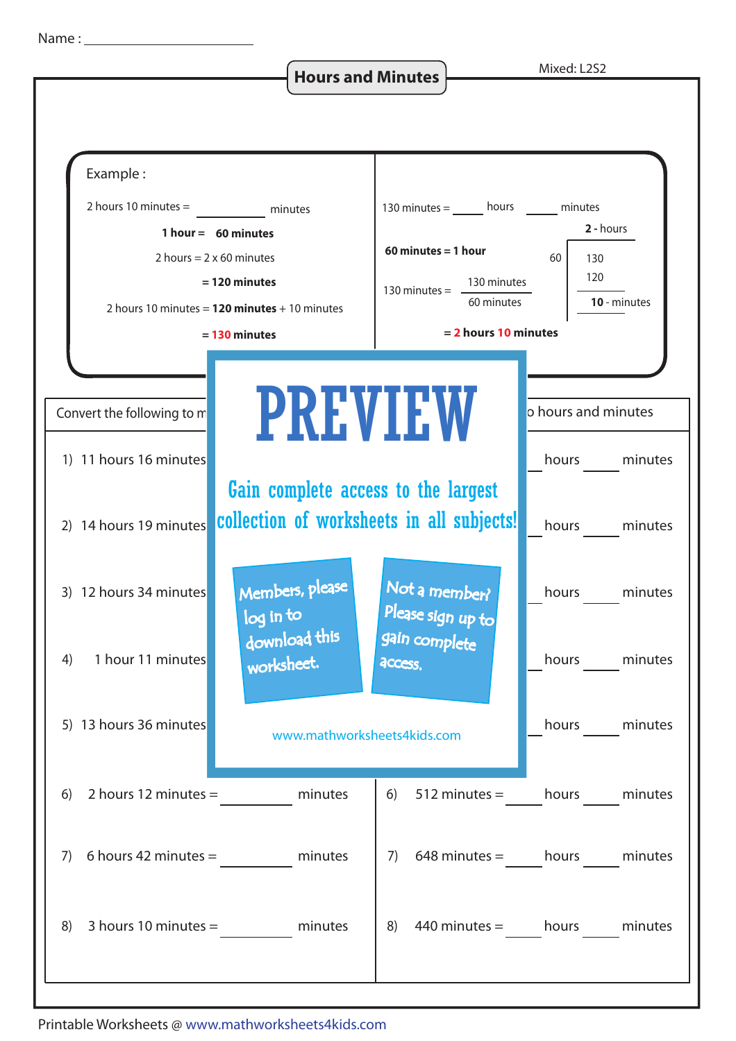**Hours and Minutes Mixed: L2S2** 



Printable Worksheets @ www.mathworksheets4kids.com